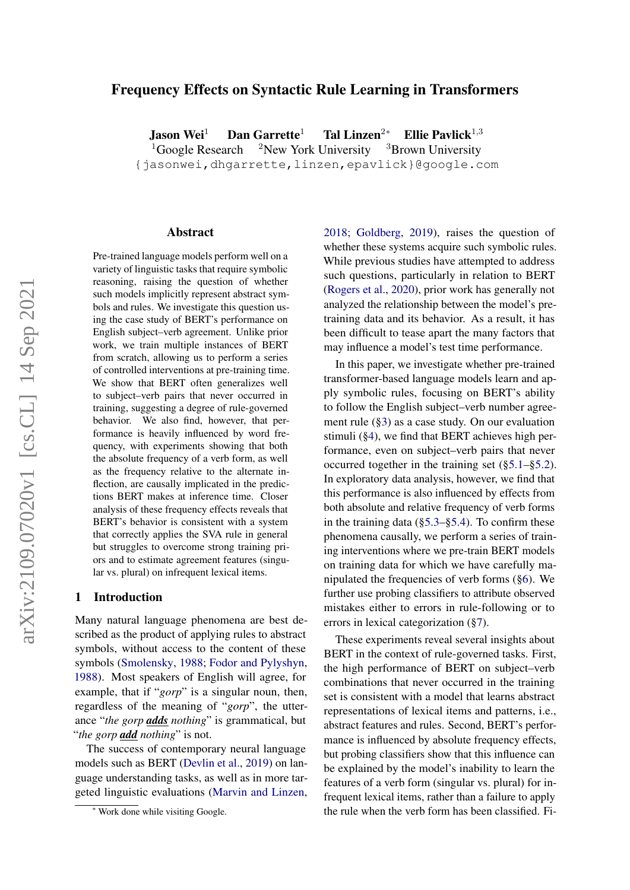# Frequency Effects on Syntactic Rule Learning in Transformers

Jason Wei<sup>1</sup> Dan Garrette<sup>1</sup> Tal Linzen<sup>2∗</sup> Ellie Pavlick<sup>1,3</sup>

<sup>1</sup>Google Research <sup>2</sup>New York University <sup>3</sup>Brown University

{jasonwei,dhgarrette,linzen,epavlick}@google.com

#### Abstract

Pre-trained language models perform well on a variety of linguistic tasks that require symbolic reasoning, raising the question of whether such models implicitly represent abstract symbols and rules. We investigate this question using the case study of BERT's performance on English subject–verb agreement. Unlike prior work, we train multiple instances of BERT from scratch, allowing us to perform a series of controlled interventions at pre-training time. We show that BERT often generalizes well to subject–verb pairs that never occurred in training, suggesting a degree of rule-governed behavior. We also find, however, that performance is heavily influenced by word frequency, with experiments showing that both the absolute frequency of a verb form, as well as the frequency relative to the alternate inflection, are causally implicated in the predictions BERT makes at inference time. Closer analysis of these frequency effects reveals that BERT's behavior is consistent with a system that correctly applies the SVA rule in general but struggles to overcome strong training priors and to estimate agreement features (singular vs. plural) on infrequent lexical items.

## 1 Introduction

Many natural language phenomena are best described as the product of applying rules to abstract symbols, without access to the content of these symbols [\(Smolensky,](#page-9-0) [1988;](#page-9-0) [Fodor and Pylyshyn,](#page-9-1) [1988\)](#page-9-1). Most speakers of English will agree, for example, that if "*gorp*" is a singular noun, then, regardless of the meaning of "*gorp*", the utterance "*the gorp adds nothing*" is grammatical, but "*the gorp add nothing*" is not.

The success of contemporary neural language models such as BERT [\(Devlin et al.,](#page-9-2) [2019\)](#page-9-2) on language understanding tasks, as well as in more targeted linguistic evaluations [\(Marvin and Linzen,](#page-9-3) [2018;](#page-9-3) [Goldberg,](#page-9-4) [2019\)](#page-9-4), raises the question of whether these systems acquire such symbolic rules. While previous studies have attempted to address such questions, particularly in relation to BERT [\(Rogers et al.,](#page-9-5) [2020\)](#page-9-5), prior work has generally not analyzed the relationship between the model's pretraining data and its behavior. As a result, it has been difficult to tease apart the many factors that may influence a model's test time performance.

In this paper, we investigate whether pre-trained transformer-based language models learn and apply symbolic rules, focusing on BERT's ability to follow the English subject–verb number agreement rule ([§3\)](#page-2-0) as a case study. On our evaluation stimuli ([§4\)](#page-2-1), we find that BERT achieves high performance, even on subject–verb pairs that never occurred together in the training set ([§5.1–](#page-4-0)[§5.2\)](#page-4-1). In exploratory data analysis, however, we find that this performance is also influenced by effects from both absolute and relative frequency of verb forms in the training data ([§5.3–](#page-4-2)[§5.4\)](#page-4-3). To confirm these phenomena causally, we perform a series of training interventions where we pre-train BERT models on training data for which we have carefully manipulated the frequencies of verb forms ([§6\)](#page-5-0). We further use probing classifiers to attribute observed mistakes either to errors in rule-following or to errors in lexical categorization ([§7\)](#page-6-0).

These experiments reveal several insights about BERT in the context of rule-governed tasks. First, the high performance of BERT on subject–verb combinations that never occurred in the training set is consistent with a model that learns abstract representations of lexical items and patterns, i.e., abstract features and rules. Second, BERT's performance is influenced by absolute frequency effects, but probing classifiers show that this influence can be explained by the model's inability to learn the features of a verb form (singular vs. plural) for infrequent lexical items, rather than a failure to apply the rule when the verb form has been classified. Fi-

<sup>∗</sup> Work done while visiting Google.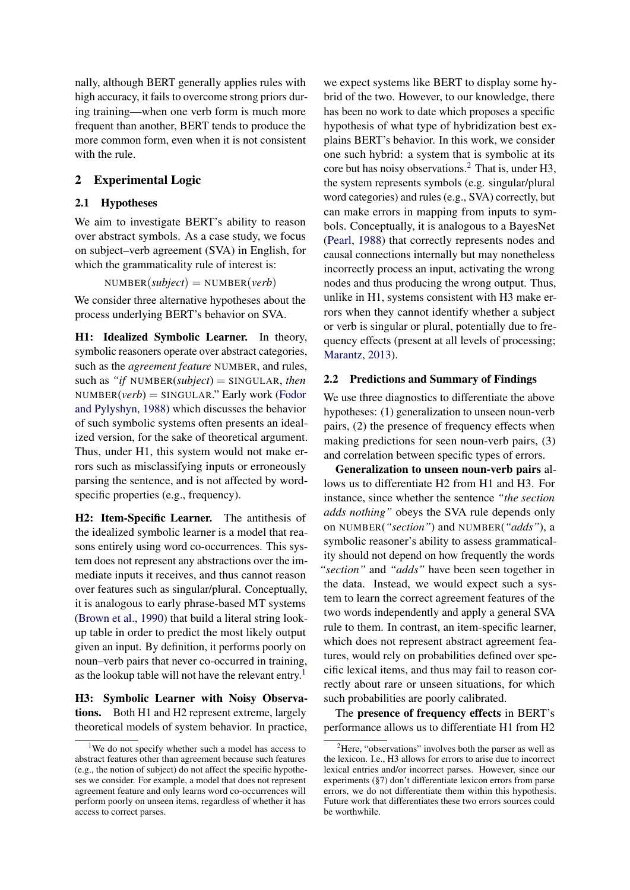nally, although BERT generally applies rules with high accuracy, it fails to overcome strong priors during training—when one verb form is much more frequent than another, BERT tends to produce the more common form, even when it is not consistent with the rule.

# <span id="page-1-2"></span>2 Experimental Logic

## 2.1 Hypotheses

We aim to investigate BERT's ability to reason over abstract symbols. As a case study, we focus on subject–verb agreement (SVA) in English, for which the grammaticality rule of interest is:

 $NUMBER(subject) = NUMBER(verb)$ 

We consider three alternative hypotheses about the process underlying BERT's behavior on SVA.

H1: Idealized Symbolic Learner. In theory, symbolic reasoners operate over abstract categories, such as the *agreement feature* NUMBER, and rules, such as *"if* NUMBER(*subject*) = SINGULAR, *then* NUMBER(*verb*) = SINGULAR." Early work [\(Fodor](#page-9-1) [and Pylyshyn,](#page-9-1) [1988\)](#page-9-1) which discusses the behavior of such symbolic systems often presents an idealized version, for the sake of theoretical argument. Thus, under H1, this system would not make errors such as misclassifying inputs or erroneously parsing the sentence, and is not affected by wordspecific properties (e.g., frequency).

H2: Item-Specific Learner. The antithesis of the idealized symbolic learner is a model that reasons entirely using word co-occurrences. This system does not represent any abstractions over the immediate inputs it receives, and thus cannot reason over features such as singular/plural. Conceptually, it is analogous to early phrase-based MT systems [\(Brown et al.,](#page-8-0) [1990\)](#page-8-0) that build a literal string lookup table in order to predict the most likely output given an input. By definition, it performs poorly on noun–verb pairs that never co-occurred in training, as the lookup table will not have the relevant entry.<sup>[1](#page-1-0)</sup>

H3: Symbolic Learner with Noisy Observations. Both H1 and H2 represent extreme, largely theoretical models of system behavior. In practice, we expect systems like BERT to display some hybrid of the two. However, to our knowledge, there has been no work to date which proposes a specific hypothesis of what type of hybridization best explains BERT's behavior. In this work, we consider one such hybrid: a system that is symbolic at its core but has noisy observations.[2](#page-1-1) That is, under H3, the system represents symbols (e.g. singular/plural word categories) and rules (e.g., SVA) correctly, but can make errors in mapping from inputs to symbols. Conceptually, it is analogous to a BayesNet [\(Pearl,](#page-9-6) [1988\)](#page-9-6) that correctly represents nodes and causal connections internally but may nonetheless incorrectly process an input, activating the wrong nodes and thus producing the wrong output. Thus, unlike in H1, systems consistent with H3 make errors when they cannot identify whether a subject or verb is singular or plural, potentially due to frequency effects (present at all levels of processing; [Marantz,](#page-9-7) [2013\)](#page-9-7).

## 2.2 Predictions and Summary of Findings

We use three diagnostics to differentiate the above hypotheses: (1) generalization to unseen noun-verb pairs, (2) the presence of frequency effects when making predictions for seen noun-verb pairs, (3) and correlation between specific types of errors.

Generalization to unseen noun-verb pairs allows us to differentiate H2 from H1 and H3. For instance, since whether the sentence *"the section adds nothing"* obeys the SVA rule depends only on NUMBER(*"section"*) and NUMBER(*"adds"*), a symbolic reasoner's ability to assess grammaticality should not depend on how frequently the words *"section"* and *"adds"* have been seen together in the data. Instead, we would expect such a system to learn the correct agreement features of the two words independently and apply a general SVA rule to them. In contrast, an item-specific learner, which does not represent abstract agreement features, would rely on probabilities defined over specific lexical items, and thus may fail to reason correctly about rare or unseen situations, for which such probabilities are poorly calibrated.

The presence of frequency effects in BERT's performance allows us to differentiate H1 from H2

<span id="page-1-0"></span><sup>&</sup>lt;sup>1</sup>We do not specify whether such a model has access to abstract features other than agreement because such features (e.g., the notion of subject) do not affect the specific hypotheses we consider. For example, a model that does not represent agreement feature and only learns word co-occurrences will perform poorly on unseen items, regardless of whether it has access to correct parses.

<span id="page-1-1"></span><sup>&</sup>lt;sup>2</sup>Here, "observations" involves both the parser as well as the lexicon. I.e., H3 allows for errors to arise due to incorrect lexical entries and/or incorrect parses. However, since our experiments ([§7\)](#page-6-0) don't differentiate lexicon errors from parse errors, we do not differentiate them within this hypothesis. Future work that differentiates these two errors sources could be worthwhile.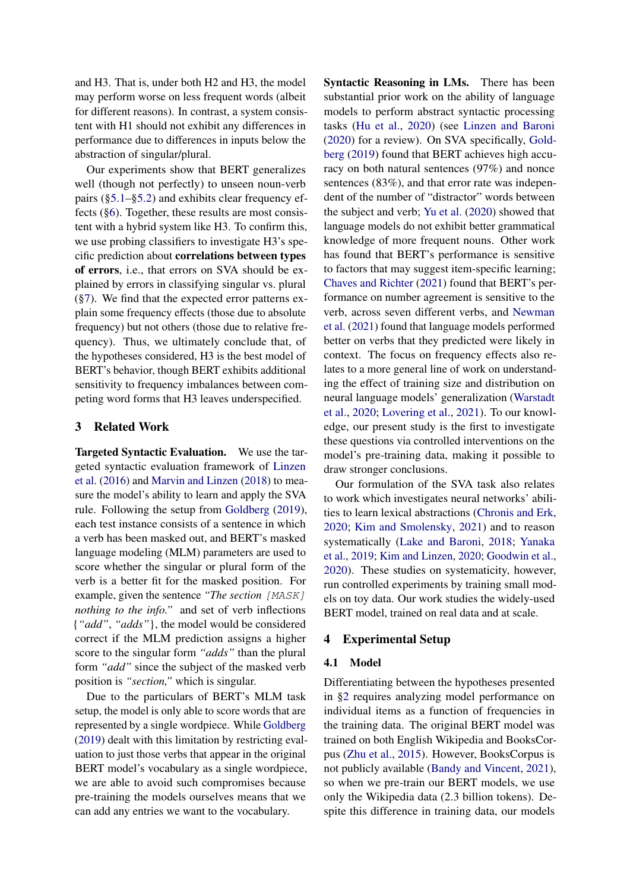and H3. That is, under both H2 and H3, the model may perform worse on less frequent words (albeit for different reasons). In contrast, a system consistent with H1 should not exhibit any differences in performance due to differences in inputs below the abstraction of singular/plural.

Our experiments show that BERT generalizes well (though not perfectly) to unseen noun-verb pairs ([§5.1–](#page-4-0)[§5.2\)](#page-4-1) and exhibits clear frequency effects ([§6\)](#page-5-0). Together, these results are most consistent with a hybrid system like H3. To confirm this, we use probing classifiers to investigate H3's specific prediction about correlations between types of errors, i.e., that errors on SVA should be explained by errors in classifying singular vs. plural ([§7\)](#page-6-0). We find that the expected error patterns explain some frequency effects (those due to absolute frequency) but not others (those due to relative frequency). Thus, we ultimately conclude that, of the hypotheses considered, H3 is the best model of BERT's behavior, though BERT exhibits additional sensitivity to frequency imbalances between competing word forms that H3 leaves underspecified.

## <span id="page-2-0"></span>3 Related Work

Targeted Syntactic Evaluation. We use the targeted syntactic evaluation framework of [Linzen](#page-9-8) [et al.](#page-9-8) [\(2016\)](#page-9-8) and [Marvin and Linzen](#page-9-3) [\(2018\)](#page-9-3) to measure the model's ability to learn and apply the SVA rule. Following the setup from [Goldberg](#page-9-4) [\(2019\)](#page-9-4), each test instance consists of a sentence in which a verb has been masked out, and BERT's masked language modeling (MLM) parameters are used to score whether the singular or plural form of the verb is a better fit for the masked position. For example, given the sentence *"The section* [MASK] *nothing to the info.*" and set of verb inflections {*"add"*, *"adds"*}, the model would be considered correct if the MLM prediction assigns a higher score to the singular form *"adds"* than the plural form *"add"* since the subject of the masked verb position is *"section,"* which is singular.

Due to the particulars of BERT's MLM task setup, the model is only able to score words that are represented by a single wordpiece. While [Goldberg](#page-9-4) [\(2019\)](#page-9-4) dealt with this limitation by restricting evaluation to just those verbs that appear in the original BERT model's vocabulary as a single wordpiece, we are able to avoid such compromises because pre-training the models ourselves means that we can add any entries we want to the vocabulary.

Syntactic Reasoning in LMs. There has been substantial prior work on the ability of language models to perform abstract syntactic processing tasks [\(Hu et al.,](#page-9-9) [2020\)](#page-9-9) (see [Linzen and Baroni](#page-9-10) [\(2020\)](#page-9-10) for a review). On SVA specifically, [Gold](#page-9-4)[berg](#page-9-4) [\(2019\)](#page-9-4) found that BERT achieves high accuracy on both natural sentences (97%) and nonce sentences (83%), and that error rate was independent of the number of "distractor" words between the subject and verb; [Yu et al.](#page-9-11) [\(2020\)](#page-9-11) showed that language models do not exhibit better grammatical knowledge of more frequent nouns. Other work has found that BERT's performance is sensitive to factors that may suggest item-specific learning; [Chaves and Richter](#page-9-12) [\(2021\)](#page-9-12) found that BERT's performance on number agreement is sensitive to the verb, across seven different verbs, and [Newman](#page-9-13) [et al.](#page-9-13) [\(2021\)](#page-9-13) found that language models performed better on verbs that they predicted were likely in context. The focus on frequency effects also relates to a more general line of work on understanding the effect of training size and distribution on neural language models' generalization [\(Warstadt](#page-9-14) [et al.,](#page-9-14) [2020;](#page-9-14) [Lovering et al.,](#page-9-15) [2021\)](#page-9-15). To our knowledge, our present study is the first to investigate these questions via controlled interventions on the model's pre-training data, making it possible to draw stronger conclusions.

Our formulation of the SVA task also relates to work which investigates neural networks' abilities to learn lexical abstractions [\(Chronis and Erk,](#page-9-16) [2020;](#page-9-16) [Kim and Smolensky,](#page-9-17) [2021\)](#page-9-17) and to reason systematically [\(Lake and Baroni,](#page-9-18) [2018;](#page-9-18) [Yanaka](#page-9-19) [et al.,](#page-9-19) [2019;](#page-9-19) [Kim and Linzen,](#page-9-20) [2020;](#page-9-20) [Goodwin et al.,](#page-9-21) [2020\)](#page-9-21). These studies on systematicity, however, run controlled experiments by training small models on toy data. Our work studies the widely-used BERT model, trained on real data and at scale.

## <span id="page-2-1"></span>4 Experimental Setup

#### 4.1 Model

Differentiating between the hypotheses presented in [§2](#page-1-2) requires analyzing model performance on individual items as a function of frequencies in the training data. The original BERT model was trained on both English Wikipedia and BooksCorpus [\(Zhu et al.,](#page-9-22) [2015\)](#page-9-22). However, BooksCorpus is not publicly available [\(Bandy and Vincent,](#page-8-1) [2021\)](#page-8-1), so when we pre-train our BERT models, we use only the Wikipedia data (2.3 billion tokens). Despite this difference in training data, our models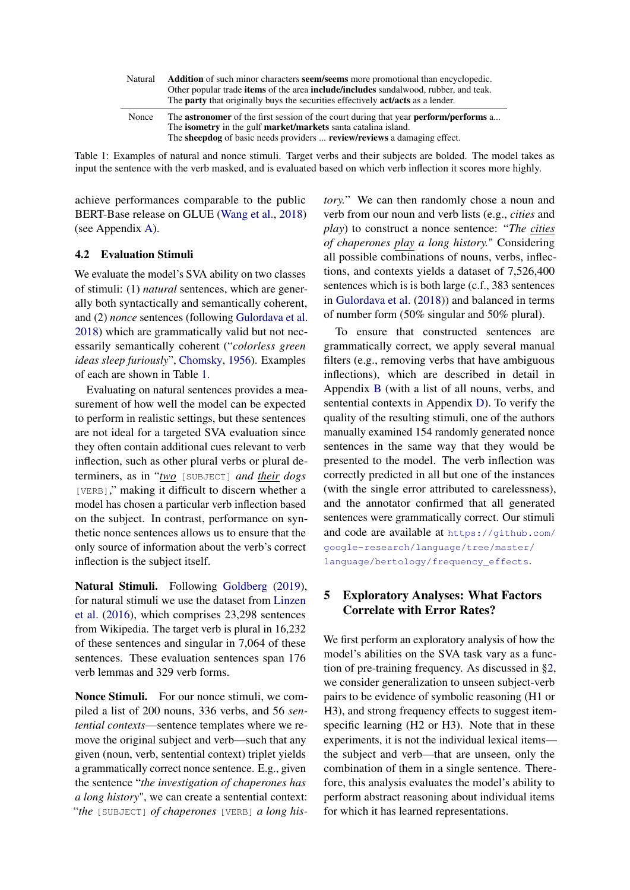<span id="page-3-0"></span>

| Natural | <b>Addition</b> of such minor characters <b>seem/seems</b> more promotional than encyclopedic.<br>Other popular trade <b>items</b> of the area <b>include/includes</b> sandalwood, rubber, and teak.<br>The <b>party</b> that originally buys the securities effectively <b>act/acts</b> as a lender. |
|---------|-------------------------------------------------------------------------------------------------------------------------------------------------------------------------------------------------------------------------------------------------------------------------------------------------------|
| Nonce   | The <b>astronomer</b> of the first session of the court during that year <b>perform/performs</b> a<br>The isometry in the gulf market/markets santa catalina island.<br>The <b>sheepdog</b> of basic needs providers <b>review/reviews</b> a damaging effect.                                         |

Table 1: Examples of natural and nonce stimuli. Target verbs and their subjects are bolded. The model takes as input the sentence with the verb masked, and is evaluated based on which verb inflection it scores more highly.

achieve performances comparable to the public BERT-Base release on GLUE [\(Wang et al.,](#page-9-23) [2018\)](#page-9-23) (see Appendix [A\)](#page-10-0).

### 4.2 Evaluation Stimuli

We evaluate the model's SVA ability on two classes of stimuli: (1) *natural* sentences, which are generally both syntactically and semantically coherent, and (2) *nonce* sentences (following [Gulordava et al.](#page-9-24) [2018\)](#page-9-24) which are grammatically valid but not necessarily semantically coherent ("*colorless green ideas sleep furiously*", [Chomsky,](#page-9-25) [1956\)](#page-9-25). Examples of each are shown in Table [1.](#page-3-0)

Evaluating on natural sentences provides a measurement of how well the model can be expected to perform in realistic settings, but these sentences are not ideal for a targeted SVA evaluation since they often contain additional cues relevant to verb inflection, such as other plural verbs or plural determiners, as in "*two* [SUBJECT] *and their dogs* [VERB]," making it difficult to discern whether a model has chosen a particular verb inflection based on the subject. In contrast, performance on synthetic nonce sentences allows us to ensure that the only source of information about the verb's correct inflection is the subject itself.

Natural Stimuli. Following [Goldberg](#page-9-4) [\(2019\)](#page-9-4), for natural stimuli we use the dataset from [Linzen](#page-9-8) [et al.](#page-9-8) [\(2016\)](#page-9-8), which comprises 23,298 sentences from Wikipedia. The target verb is plural in 16,232 of these sentences and singular in 7,064 of these sentences. These evaluation sentences span 176 verb lemmas and 329 verb forms.

<span id="page-3-1"></span>Nonce Stimuli. For our nonce stimuli, we compiled a list of 200 nouns, 336 verbs, and 56 *sentential contexts*—sentence templates where we remove the original subject and verb—such that any given (noun, verb, sentential context) triplet yields a grammatically correct nonce sentence. E.g., given the sentence "*the investigation of chaperones has a long history*", we can create a sentential context: "*the* [SUBJECT] *of chaperones* [VERB] *a long his-* *tory.*" We can then randomly chose a noun and verb from our noun and verb lists (e.g., *cities* and *play*) to construct a nonce sentence: "*The cities of chaperones play a long history.*" Considering all possible combinations of nouns, verbs, inflections, and contexts yields a dataset of 7,526,400 sentences which is is both large (c.f., 383 sentences in [Gulordava et al.](#page-9-24) [\(2018\)](#page-9-24)) and balanced in terms of number form (50% singular and 50% plural).

To ensure that constructed sentences are grammatically correct, we apply several manual filters (e.g., removing verbs that have ambiguous inflections), which are described in detail in Appendix [B](#page-10-1) (with a list of all nouns, verbs, and sentential contexts in Appendix [D\)](#page-14-0). To verify the quality of the resulting stimuli, one of the authors manually examined 154 randomly generated nonce sentences in the same way that they would be presented to the model. The verb inflection was correctly predicted in all but one of the instances (with the single error attributed to carelessness), and the annotator confirmed that all generated sentences were grammatically correct. Our stimuli and code are available at [https://github.com/](https://github.com/google-research/language/tree/master/language/bertology/frequency_effects) [google-research/language/tree/master/](https://github.com/google-research/language/tree/master/language/bertology/frequency_effects) [language/bertology/frequency\\_effects](https://github.com/google-research/language/tree/master/language/bertology/frequency_effects).

# 5 Exploratory Analyses: What Factors Correlate with Error Rates?

We first perform an exploratory analysis of how the model's abilities on the SVA task vary as a function of pre-training frequency. As discussed in [§2,](#page-1-2) we consider generalization to unseen subject-verb pairs to be evidence of symbolic reasoning (H1 or H3), and strong frequency effects to suggest itemspecific learning (H2 or H3). Note that in these experiments, it is not the individual lexical items the subject and verb—that are unseen, only the combination of them in a single sentence. Therefore, this analysis evaluates the model's ability to perform abstract reasoning about individual items for which it has learned representations.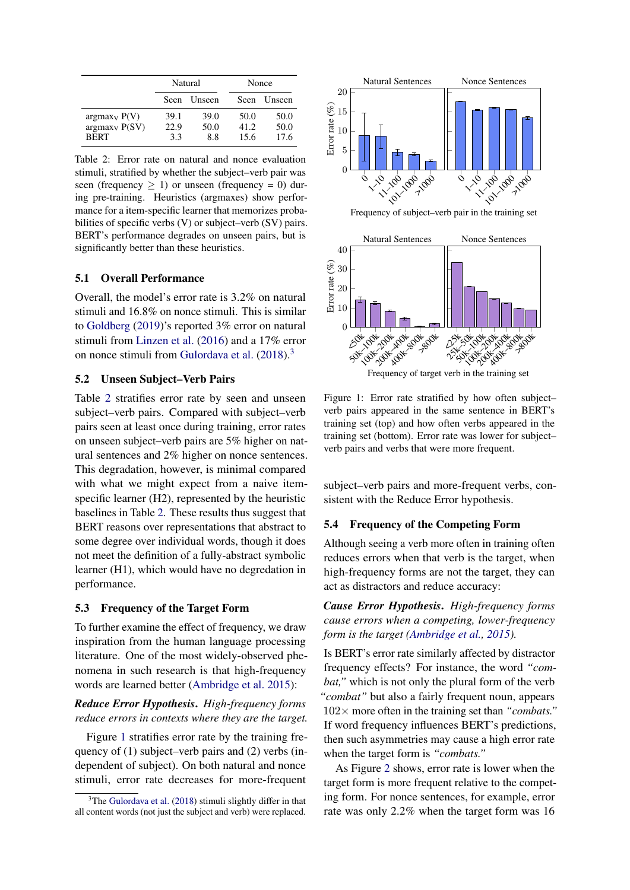<span id="page-4-5"></span>

|                  | Natural     |               | Nonce       |        |
|------------------|-------------|---------------|-------------|--------|
|                  | <b>Seen</b> | <b>Unseen</b> | <b>Seen</b> | Unseen |
| $argmax_V P(V)$  | 39.1        | 39.0          | 50.0        | 50.0   |
| $argmax_V P(SV)$ | 22.9        | 50.0          | 41.2        | 50.0   |
| <b>BERT</b>      | 3.3         | 8.8           | 15.6        | 17.6   |

Table 2: Error rate on natural and nonce evaluation stimuli, stratified by whether the subject–verb pair was seen (frequency  $\geq$  1) or unseen (frequency = 0) during pre-training. Heuristics (argmaxes) show performance for a item-specific learner that memorizes probabilities of specific verbs (V) or subject–verb (SV) pairs. BERT's performance degrades on unseen pairs, but is significantly better than these heuristics.

### <span id="page-4-0"></span>5.1 Overall Performance

Overall, the model's error rate is 3.2% on natural stimuli and 16.8% on nonce stimuli. This is similar to [Goldberg](#page-9-4) [\(2019\)](#page-9-4)'s reported 3% error on natural stimuli from [Linzen et al.](#page-9-8) [\(2016\)](#page-9-8) and a 17% error on nonce stimuli from [Gulordava et al.](#page-9-24) [\(2018\)](#page-9-24).[3](#page-4-4)

## <span id="page-4-1"></span>5.2 Unseen Subject–Verb Pairs

Table [2](#page-4-5) stratifies error rate by seen and unseen subject–verb pairs. Compared with subject–verb pairs seen at least once during training, error rates on unseen subject–verb pairs are 5% higher on natural sentences and 2% higher on nonce sentences. This degradation, however, is minimal compared with what we might expect from a naive itemspecific learner (H2), represented by the heuristic baselines in Table [2.](#page-4-5) These results thus suggest that BERT reasons over representations that abstract to some degree over individual words, though it does not meet the definition of a fully-abstract symbolic learner (H1), which would have no degredation in performance.

## <span id="page-4-2"></span>5.3 Frequency of the Target Form

To further examine the effect of frequency, we draw inspiration from the human language processing literature. One of the most widely-observed phenomena in such research is that high-frequency words are learned better [\(Ambridge et al.](#page-8-2) [2015\)](#page-8-2):

## *Reduce Error Hypothesis*. *High-frequency forms reduce errors in contexts where they are the target.*

Figure [1](#page-4-6) stratifies error rate by the training frequency of (1) subject–verb pairs and (2) verbs (independent of subject). On both natural and nonce stimuli, error rate decreases for more-frequent

<span id="page-4-6"></span>

Frequency of subject–verb pair in the training set



Figure 1: Error rate stratified by how often subject– verb pairs appeared in the same sentence in BERT's training set (top) and how often verbs appeared in the training set (bottom). Error rate was lower for subject– verb pairs and verbs that were more frequent.

subject–verb pairs and more-frequent verbs, consistent with the Reduce Error hypothesis.

## <span id="page-4-3"></span>5.4 Frequency of the Competing Form

Although seeing a verb more often in training often reduces errors when that verb is the target, when high-frequency forms are not the target, they can act as distractors and reduce accuracy:

*Cause Error Hypothesis*. *High-frequency forms cause errors when a competing, lower-frequency form is the target [\(Ambridge et al.,](#page-8-2) [2015\)](#page-8-2).*

Is BERT's error rate similarly affected by distractor frequency effects? For instance, the word *"combat,"* which is not only the plural form of the verb *"combat"* but also a fairly frequent noun, appears 102× more often in the training set than *"combats."* If word frequency influences BERT's predictions, then such asymmetries may cause a high error rate when the target form is *"combats."*

As Figure [2](#page-5-1) shows, error rate is lower when the target form is more frequent relative to the competing form. For nonce sentences, for example, error rate was only 2.2% when the target form was 16

<span id="page-4-4"></span> $3$ The [Gulordava et al.](#page-9-24) [\(2018\)](#page-9-24) stimuli slightly differ in that all content words (not just the subject and verb) were replaced.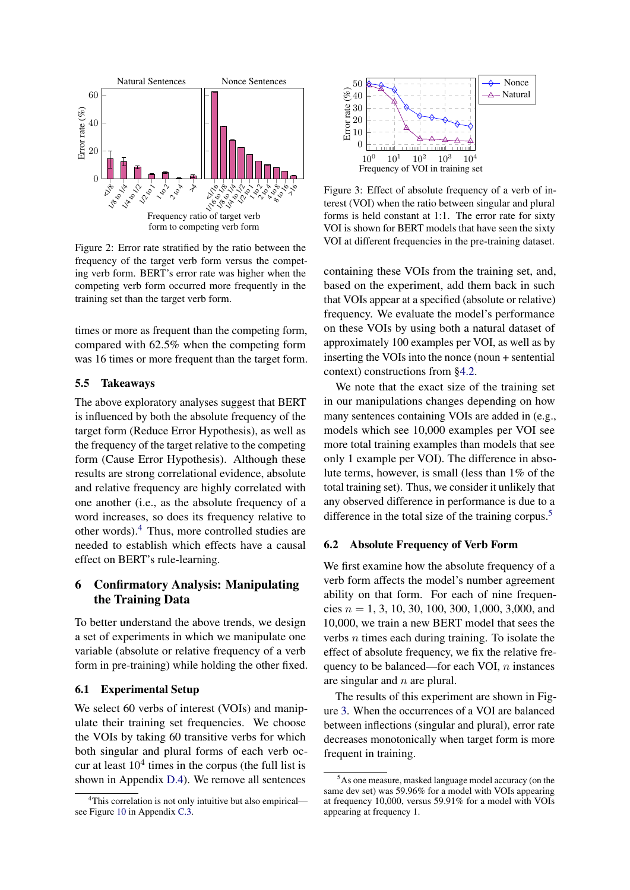<span id="page-5-1"></span>

Figure 2: Error rate stratified by the ratio between the frequency of the target verb form versus the competing verb form. BERT's error rate was higher when the competing verb form occurred more frequently in the training set than the target verb form.

times or more as frequent than the competing form, compared with 62.5% when the competing form was 16 times or more frequent than the target form.

### 5.5 Takeaways

The above exploratory analyses suggest that BERT is influenced by both the absolute frequency of the target form (Reduce Error Hypothesis), as well as the frequency of the target relative to the competing form (Cause Error Hypothesis). Although these results are strong correlational evidence, absolute and relative frequency are highly correlated with one another (i.e., as the absolute frequency of a word increases, so does its frequency relative to other words).[4](#page-5-2) Thus, more controlled studies are needed to establish which effects have a causal effect on BERT's rule-learning.

# <span id="page-5-0"></span>6 Confirmatory Analysis: Manipulating the Training Data

To better understand the above trends, we design a set of experiments in which we manipulate one variable (absolute or relative frequency of a verb form in pre-training) while holding the other fixed.

## 6.1 Experimental Setup

We select 60 verbs of interest (VOIs) and manipulate their training set frequencies. We choose the VOIs by taking 60 transitive verbs for which both singular and plural forms of each verb occur at least  $10<sup>4</sup>$  times in the corpus (the full list is shown in Appendix [D.4\)](#page-16-0). We remove all sentences

<span id="page-5-4"></span>

Figure 3: Effect of absolute frequency of a verb of interest (VOI) when the ratio between singular and plural forms is held constant at 1:1. The error rate for sixty VOI is shown for BERT models that have seen the sixty VOI at different frequencies in the pre-training dataset.

containing these VOIs from the training set, and, based on the experiment, add them back in such that VOIs appear at a specified (absolute or relative) frequency. We evaluate the model's performance on these VOIs by using both a natural dataset of approximately 100 examples per VOI, as well as by inserting the VOIs into the nonce (noun + sentential context) constructions from [§4.2.](#page-3-1)

We note that the exact size of the training set in our manipulations changes depending on how many sentences containing VOIs are added in (e.g., models which see 10,000 examples per VOI see more total training examples than models that see only 1 example per VOI). The difference in absolute terms, however, is small (less than 1% of the total training set). Thus, we consider it unlikely that any observed difference in performance is due to a difference in the total size of the training corpus.<sup>[5](#page-5-3)</sup>

#### <span id="page-5-5"></span>6.2 Absolute Frequency of Verb Form

We first examine how the absolute frequency of a verb form affects the model's number agreement ability on that form. For each of nine frequencies  $n = 1, 3, 10, 30, 100, 300, 1,000, 3,000,$  and 10,000, we train a new BERT model that sees the verbs  $n$  times each during training. To isolate the effect of absolute frequency, we fix the relative frequency to be balanced—for each VOI,  $n$  instances are singular and n are plural.

The results of this experiment are shown in Figure [3.](#page-5-4) When the occurrences of a VOI are balanced between inflections (singular and plural), error rate decreases monotonically when target form is more frequent in training.

<span id="page-5-2"></span><sup>&</sup>lt;sup>4</sup>This correlation is not only intuitive but also empirical see Figure [10](#page-12-0) in Appendix [C.3.](#page-11-0)

<span id="page-5-3"></span><sup>5</sup>As one measure, masked language model accuracy (on the same dev set) was 59.96% for a model with VOIs appearing at frequency 10,000, versus 59.91% for a model with VOIs appearing at frequency 1.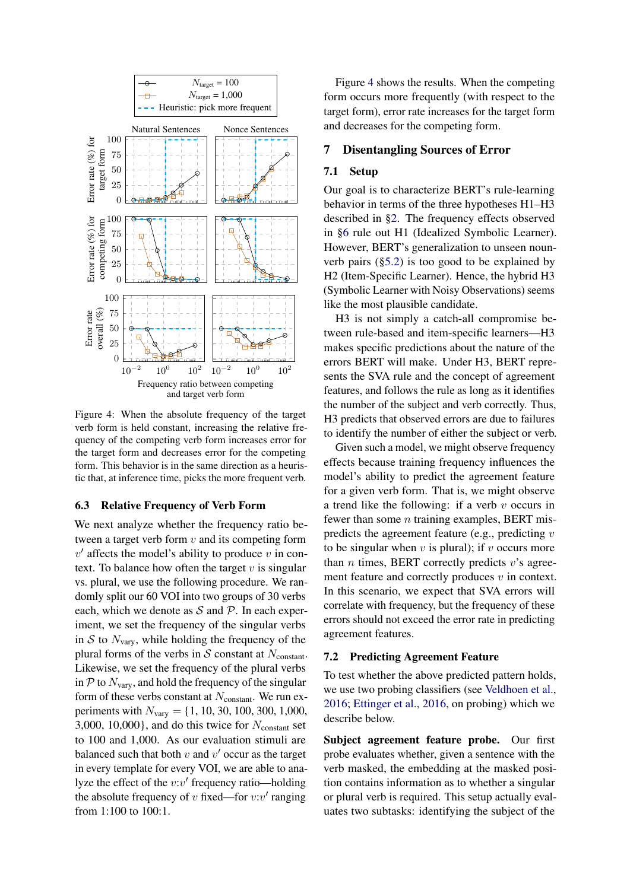<span id="page-6-1"></span>

Figure 4: When the absolute frequency of the target verb form is held constant, increasing the relative frequency of the competing verb form increases error for the target form and decreases error for the competing form. This behavior is in the same direction as a heuristic that, at inference time, picks the more frequent verb.

### <span id="page-6-2"></span>6.3 Relative Frequency of Verb Form

We next analyze whether the frequency ratio between a target verb form  $v$  and its competing form  $v'$  affects the model's ability to produce  $v$  in context. To balance how often the target  $v$  is singular vs. plural, we use the following procedure. We randomly split our 60 VOI into two groups of 30 verbs each, which we denote as  $S$  and  $P$ . In each experiment, we set the frequency of the singular verbs in S to  $N_{\text{vary}}$ , while holding the frequency of the plural forms of the verbs in S constant at  $N_{\text{constant}}$ . Likewise, we set the frequency of the plural verbs in  $P$  to  $N_{\text{vary}}$ , and hold the frequency of the singular form of these verbs constant at  $N_{\text{constant}}$ . We run experiments with  $N_{\text{vary}} = \{1, 10, 30, 100, 300, 1,000,$ 3,000, 10,000}, and do this twice for  $N_{\text{constant}}$  set to 100 and 1,000. As our evaluation stimuli are balanced such that both  $v$  and  $v'$  occur as the target in every template for every VOI, we are able to analyze the effect of the  $v$ : $v'$  frequency ratio—holding the absolute frequency of v fixed—for  $v:v'$  ranging from 1:100 to 100:1.

Figure [4](#page-6-1) shows the results. When the competing form occurs more frequently (with respect to the target form), error rate increases for the target form and decreases for the competing form.

### <span id="page-6-0"></span>7 Disentangling Sources of Error

### 7.1 Setup

Our goal is to characterize BERT's rule-learning behavior in terms of the three hypotheses H1–H3 described in [§2.](#page-1-2) The frequency effects observed in [§6](#page-5-0) rule out H1 (Idealized Symbolic Learner). However, BERT's generalization to unseen nounverb pairs ([§5.2\)](#page-4-1) is too good to be explained by H2 (Item-Specific Learner). Hence, the hybrid H3 (Symbolic Learner with Noisy Observations) seems like the most plausible candidate.

H3 is not simply a catch-all compromise between rule-based and item-specific learners—H3 makes specific predictions about the nature of the errors BERT will make. Under H3, BERT represents the SVA rule and the concept of agreement features, and follows the rule as long as it identifies the number of the subject and verb correctly. Thus, H3 predicts that observed errors are due to failures to identify the number of either the subject or verb.

Given such a model, we might observe frequency effects because training frequency influences the model's ability to predict the agreement feature for a given verb form. That is, we might observe a trend like the following: if a verb  $v$  occurs in fewer than some  $n$  training examples, BERT mispredicts the agreement feature (e.g., predicting  $v$ ) to be singular when  $v$  is plural); if  $v$  occurs more than  $n$  times, BERT correctly predicts  $v$ 's agreement feature and correctly produces  $v$  in context. In this scenario, we expect that SVA errors will correlate with frequency, but the frequency of these errors should not exceed the error rate in predicting agreement features.

### <span id="page-6-3"></span>7.2 Predicting Agreement Feature

To test whether the above predicted pattern holds, we use two probing classifiers (see [Veldhoen et al.,](#page-9-26) [2016;](#page-9-26) [Ettinger et al.,](#page-9-27) [2016,](#page-9-27) on probing) which we describe below.

Subject agreement feature probe. Our first probe evaluates whether, given a sentence with the verb masked, the embedding at the masked position contains information as to whether a singular or plural verb is required. This setup actually evaluates two subtasks: identifying the subject of the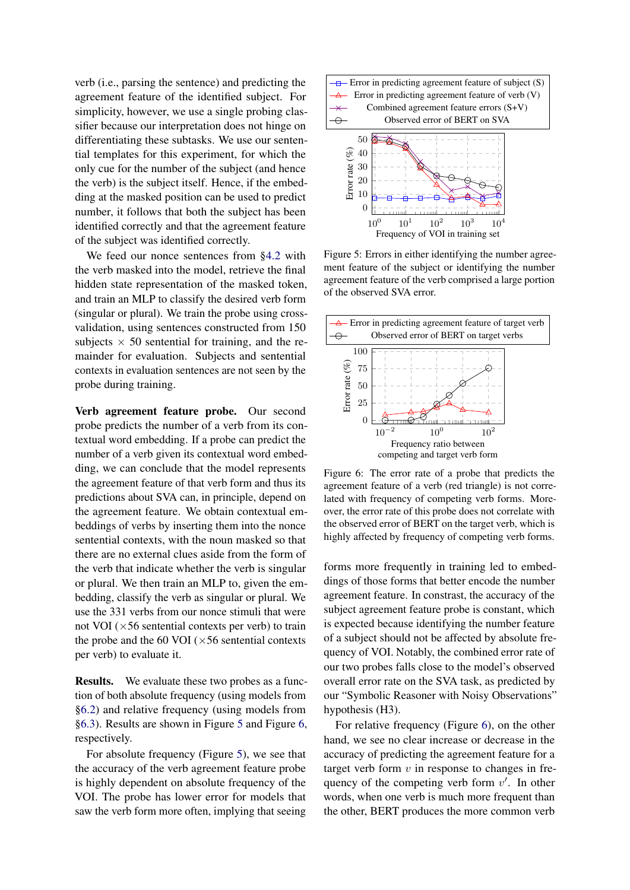verb (i.e., parsing the sentence) and predicting the agreement feature of the identified subject. For simplicity, however, we use a single probing classifier because our interpretation does not hinge on differentiating these subtasks. We use our sentential templates for this experiment, for which the only cue for the number of the subject (and hence the verb) is the subject itself. Hence, if the embedding at the masked position can be used to predict number, it follows that both the subject has been identified correctly and that the agreement feature of the subject was identified correctly.

We feed our nonce sentences from [§4.2](#page-3-1) with the verb masked into the model, retrieve the final hidden state representation of the masked token, and train an MLP to classify the desired verb form (singular or plural). We train the probe using crossvalidation, using sentences constructed from 150 subjects  $\times$  50 sentential for training, and the remainder for evaluation. Subjects and sentential contexts in evaluation sentences are not seen by the probe during training.

Verb agreement feature probe. Our second probe predicts the number of a verb from its contextual word embedding. If a probe can predict the number of a verb given its contextual word embedding, we can conclude that the model represents the agreement feature of that verb form and thus its predictions about SVA can, in principle, depend on the agreement feature. We obtain contextual embeddings of verbs by inserting them into the nonce sentential contexts, with the noun masked so that there are no external clues aside from the form of the verb that indicate whether the verb is singular or plural. We then train an MLP to, given the embedding, classify the verb as singular or plural. We use the 331 verbs from our nonce stimuli that were not VOI  $(\times 56$  sentential contexts per verb) to train the probe and the 60 VOI ( $\times$  56 sentential contexts per verb) to evaluate it.

Results. We evaluate these two probes as a function of both absolute frequency (using models from [§6.2\)](#page-5-5) and relative frequency (using models from [§6.3\)](#page-6-2). Results are shown in Figure [5](#page-7-0) and Figure [6,](#page-7-1) respectively.

For absolute frequency (Figure [5\)](#page-7-0), we see that the accuracy of the verb agreement feature probe is highly dependent on absolute frequency of the VOI. The probe has lower error for models that saw the verb form more often, implying that seeing

<span id="page-7-0"></span>

Figure 5: Errors in either identifying the number agreement feature of the subject or identifying the number agreement feature of the verb comprised a large portion of the observed SVA error.

<span id="page-7-1"></span>

Figure 6: The error rate of a probe that predicts the agreement feature of a verb (red triangle) is not correlated with frequency of competing verb forms. Moreover, the error rate of this probe does not correlate with the observed error of BERT on the target verb, which is highly affected by frequency of competing verb forms.

forms more frequently in training led to embeddings of those forms that better encode the number agreement feature. In constrast, the accuracy of the subject agreement feature probe is constant, which is expected because identifying the number feature of a subject should not be affected by absolute frequency of VOI. Notably, the combined error rate of our two probes falls close to the model's observed overall error rate on the SVA task, as predicted by our "Symbolic Reasoner with Noisy Observations" hypothesis (H3).

For relative frequency (Figure [6\)](#page-7-1), on the other hand, we see no clear increase or decrease in the accuracy of predicting the agreement feature for a target verb form  $v$  in response to changes in frequency of the competing verb form  $v'$ . In other words, when one verb is much more frequent than the other, BERT produces the more common verb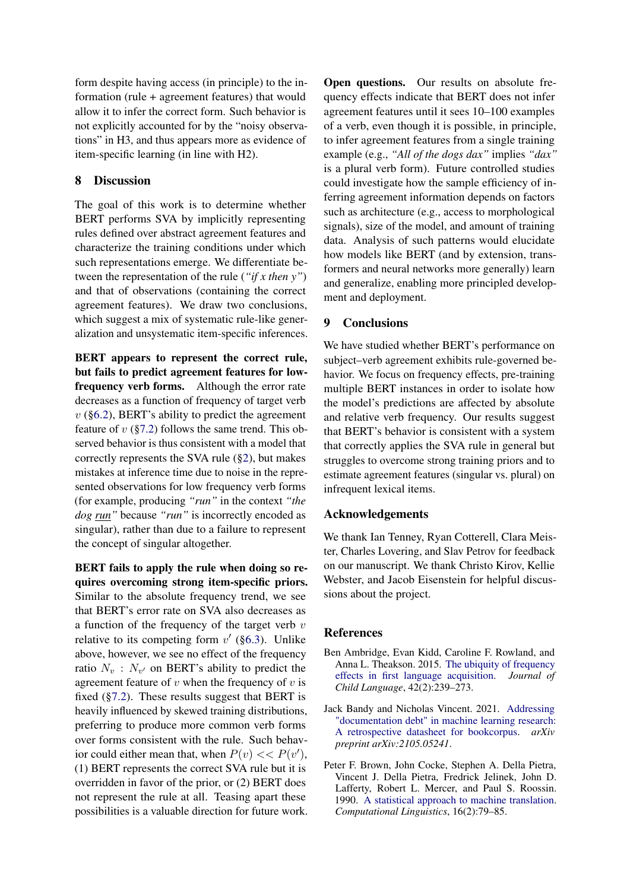form despite having access (in principle) to the information (rule + agreement features) that would allow it to infer the correct form. Such behavior is not explicitly accounted for by the "noisy observations" in H3, and thus appears more as evidence of item-specific learning (in line with H2).

## 8 Discussion

The goal of this work is to determine whether BERT performs SVA by implicitly representing rules defined over abstract agreement features and characterize the training conditions under which such representations emerge. We differentiate between the representation of the rule (*"if x then y"*) and that of observations (containing the correct agreement features). We draw two conclusions, which suggest a mix of systematic rule-like generalization and unsystematic item-specific inferences.

BERT appears to represent the correct rule, but fails to predict agreement features for lowfrequency verb forms. Although the error rate decreases as a function of frequency of target verb  $v$  ([§6.2\)](#page-5-5), BERT's ability to predict the agreement feature of  $v$  ([§7.2\)](#page-6-3) follows the same trend. This observed behavior is thus consistent with a model that correctly represents the SVA rule ([§2\)](#page-1-2), but makes mistakes at inference time due to noise in the represented observations for low frequency verb forms (for example, producing *"run"* in the context *"the dog run"* because *"run"* is incorrectly encoded as singular), rather than due to a failure to represent the concept of singular altogether.

BERT fails to apply the rule when doing so requires overcoming strong item-specific priors. Similar to the absolute frequency trend, we see that BERT's error rate on SVA also decreases as a function of the frequency of the target verb  $v$ relative to its competing form  $v'$  ([§6.3\)](#page-6-2). Unlike above, however, we see no effect of the frequency ratio  $N_v$ :  $N_{v'}$  on BERT's ability to predict the agreement feature of  $v$  when the frequency of  $v$  is fixed  $(\S7.2)$ . These results suggest that BERT is heavily influenced by skewed training distributions, preferring to produce more common verb forms over forms consistent with the rule. Such behavior could either mean that, when  $P(v) \ll P(v')$ , (1) BERT represents the correct SVA rule but it is overridden in favor of the prior, or (2) BERT does not represent the rule at all. Teasing apart these possibilities is a valuable direction for future work. Open questions. Our results on absolute frequency effects indicate that BERT does not infer agreement features until it sees 10–100 examples of a verb, even though it is possible, in principle, to infer agreement features from a single training example (e.g., *"All of the dogs dax"* implies *"dax"* is a plural verb form). Future controlled studies could investigate how the sample efficiency of inferring agreement information depends on factors such as architecture (e.g., access to morphological signals), size of the model, and amount of training data. Analysis of such patterns would elucidate how models like BERT (and by extension, transformers and neural networks more generally) learn and generalize, enabling more principled development and deployment.

## 9 Conclusions

We have studied whether BERT's performance on subject–verb agreement exhibits rule-governed behavior. We focus on frequency effects, pre-training multiple BERT instances in order to isolate how the model's predictions are affected by absolute and relative verb frequency. Our results suggest that BERT's behavior is consistent with a system that correctly applies the SVA rule in general but struggles to overcome strong training priors and to estimate agreement features (singular vs. plural) on infrequent lexical items.

## Acknowledgements

We thank Ian Tenney, Ryan Cotterell, Clara Meister, Charles Lovering, and Slav Petrov for feedback on our manuscript. We thank Christo Kirov, Kellie Webster, and Jacob Eisenstein for helpful discussions about the project.

## References

- <span id="page-8-2"></span>Ben Ambridge, Evan Kidd, Caroline F. Rowland, and Anna L. Theakson. 2015. [The ubiquity of frequency](https://doi.org/10.1017/S030500091400049X) [effects in first language acquisition.](https://doi.org/10.1017/S030500091400049X) *Journal of Child Language*, 42(2):239–273.
- <span id="page-8-1"></span>Jack Bandy and Nicholas Vincent. 2021. [Addressing](https://arxiv.org/abs/2105.05241) ["documentation debt" in machine learning research:](https://arxiv.org/abs/2105.05241) [A retrospective datasheet for bookcorpus.](https://arxiv.org/abs/2105.05241) *arXiv preprint arXiv:2105.05241*.
- <span id="page-8-0"></span>Peter F. Brown, John Cocke, Stephen A. Della Pietra, Vincent J. Della Pietra, Fredrick Jelinek, John D. Lafferty, Robert L. Mercer, and Paul S. Roossin. 1990. [A statistical approach to machine translation.](https://aclanthology.org/J90-2002) *Computational Linguistics*, 16(2):79–85.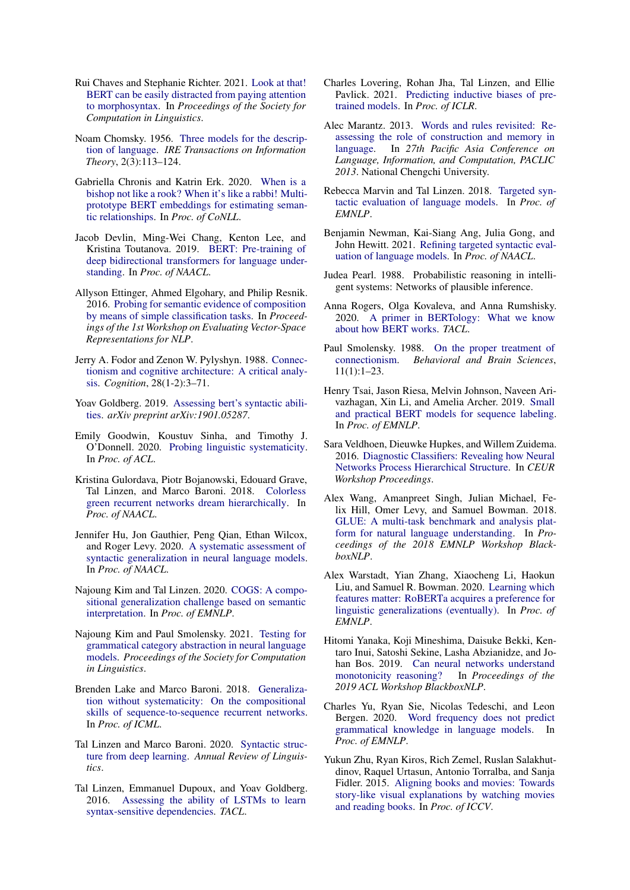- <span id="page-9-12"></span>Rui Chaves and Stephanie Richter. 2021. [Look at that!](https://doi.org/10.7275/b92s-qd21) [BERT can be easily distracted from paying attention](https://doi.org/10.7275/b92s-qd21) [to morphosyntax.](https://doi.org/10.7275/b92s-qd21) In *Proceedings of the Society for Computation in Linguistics*.
- <span id="page-9-25"></span>Noam Chomsky. 1956. [Three models for the descrip](https://ieeexplore.ieee.org/document/1056813)[tion of language.](https://ieeexplore.ieee.org/document/1056813) *IRE Transactions on Information Theory*, 2(3):113–124.
- <span id="page-9-16"></span>Gabriella Chronis and Katrin Erk. 2020. [When is a](https://doi.org/10.18653/v1/2020.conll-1.17) [bishop not like a rook? When it's like a rabbi! Multi](https://doi.org/10.18653/v1/2020.conll-1.17)[prototype BERT embeddings for estimating seman](https://doi.org/10.18653/v1/2020.conll-1.17)[tic relationships.](https://doi.org/10.18653/v1/2020.conll-1.17) In *Proc. of CoNLL*.
- <span id="page-9-2"></span>Jacob Devlin, Ming-Wei Chang, Kenton Lee, and Kristina Toutanova. 2019. [BERT: Pre-training of](https://doi.org/10.18653/v1/N19-1423) [deep bidirectional transformers for language under](https://doi.org/10.18653/v1/N19-1423)[standing.](https://doi.org/10.18653/v1/N19-1423) In *Proc. of NAACL*.
- <span id="page-9-27"></span>Allyson Ettinger, Ahmed Elgohary, and Philip Resnik. 2016. [Probing for semantic evidence of composition](https://doi.org/10.18653/v1/W16-2524) [by means of simple classification tasks.](https://doi.org/10.18653/v1/W16-2524) In *Proceedings of the 1st Workshop on Evaluating Vector-Space Representations for NLP*.
- <span id="page-9-1"></span>Jerry A. Fodor and Zenon W. Pylyshyn. 1988. [Connec](http://ruccs.rutgers.edu/images/personal-zenon-pylyshyn/proseminars/Proseminar13/ConnectionistArchitecture.pdf)[tionism and cognitive architecture: A critical analy](http://ruccs.rutgers.edu/images/personal-zenon-pylyshyn/proseminars/Proseminar13/ConnectionistArchitecture.pdf)[sis.](http://ruccs.rutgers.edu/images/personal-zenon-pylyshyn/proseminars/Proseminar13/ConnectionistArchitecture.pdf) *Cognition*, 28(1-2):3–71.
- <span id="page-9-4"></span>Yoav Goldberg. 2019. [Assessing bert's syntactic abili](https://arxiv.org/abs/1901.05287)[ties.](https://arxiv.org/abs/1901.05287) *arXiv preprint arXiv:1901.05287*.
- <span id="page-9-21"></span>Emily Goodwin, Koustuv Sinha, and Timothy J. O'Donnell. 2020. [Probing linguistic systematicity.](https://www.aclweb.org/anthology/2020.acl-main.177) In *Proc. of ACL*.
- <span id="page-9-24"></span>Kristina Gulordava, Piotr Bojanowski, Edouard Grave, Tal Linzen, and Marco Baroni. 2018. [Colorless](https://www.aclweb.org/anthology/N18-1108) [green recurrent networks dream hierarchically.](https://www.aclweb.org/anthology/N18-1108) In *Proc. of NAACL*.
- <span id="page-9-9"></span>Jennifer Hu, Jon Gauthier, Peng Qian, Ethan Wilcox, and Roger Levy. 2020. [A systematic assessment of](https://www.aclweb.org/anthology/2020.acl-main.158) [syntactic generalization in neural language models.](https://www.aclweb.org/anthology/2020.acl-main.158) In *Proc. of NAACL*.
- <span id="page-9-20"></span>Najoung Kim and Tal Linzen. 2020. [COGS: A compo](https://www.aclweb.org/anthology/2020.emnlp-main.731)[sitional generalization challenge based on semantic](https://www.aclweb.org/anthology/2020.emnlp-main.731) [interpretation.](https://www.aclweb.org/anthology/2020.emnlp-main.731) In *Proc. of EMNLP*.
- <span id="page-9-17"></span>Najoung Kim and Paul Smolensky. 2021. [Testing for](https://scholarworks.umass.edu/scil/vol4/iss1/60/) [grammatical category abstraction in neural language](https://scholarworks.umass.edu/scil/vol4/iss1/60/) [models.](https://scholarworks.umass.edu/scil/vol4/iss1/60/) *Proceedings of the Society for Computation in Linguistics*.
- <span id="page-9-18"></span>Brenden Lake and Marco Baroni. 2018. [Generaliza](https://arxiv.org/abs/1711.00350)[tion without systematicity: On the compositional](https://arxiv.org/abs/1711.00350) [skills of sequence-to-sequence recurrent networks.](https://arxiv.org/abs/1711.00350) In *Proc. of ICML*.
- <span id="page-9-10"></span>Tal Linzen and Marco Baroni. 2020. [Syntactic struc](https://www.annualreviews.org/doi/abs/10.1146/annurev-linguistics-032020-051035)[ture from deep learning.](https://www.annualreviews.org/doi/abs/10.1146/annurev-linguistics-032020-051035) *Annual Review of Linguistics*.
- <span id="page-9-8"></span>Tal Linzen, Emmanuel Dupoux, and Yoav Goldberg. 2016. [Assessing the ability of LSTMs to learn](https://www.aclweb.org/anthology/Q16-1037) [syntax-sensitive dependencies.](https://www.aclweb.org/anthology/Q16-1037) *TACL*.
- <span id="page-9-15"></span>Charles Lovering, Rohan Jha, Tal Linzen, and Ellie Pavlick. 2021. [Predicting inductive biases of pre](https://openreview.net/forum?id=mNtmhaDkAr)[trained models.](https://openreview.net/forum?id=mNtmhaDkAr) In *Proc. of ICLR*.
- <span id="page-9-7"></span>Alec Marantz. 2013. [Words and rules revisited: Re](https://nyuscholars.nyu.edu/en/publications/words-and-rules-revisited-reassessing-the-role-of-construction-an)[assessing the role of construction and memory in](https://nyuscholars.nyu.edu/en/publications/words-and-rules-revisited-reassessing-the-role-of-construction-an) [language.](https://nyuscholars.nyu.edu/en/publications/words-and-rules-revisited-reassessing-the-role-of-construction-an) In *27th Pacific Asia Conference on Language, Information, and Computation, PACLIC 2013*. National Chengchi University.
- <span id="page-9-3"></span>Rebecca Marvin and Tal Linzen. 2018. [Targeted syn](https://www.aclweb.org/anthology/D18-1151)[tactic evaluation of language models.](https://www.aclweb.org/anthology/D18-1151) In *Proc. of EMNLP*.
- <span id="page-9-13"></span>Benjamin Newman, Kai-Siang Ang, Julia Gong, and John Hewitt. 2021. [Refining targeted syntactic eval](https://arxiv.org/abs/2104.09635)[uation of language models.](https://arxiv.org/abs/2104.09635) In *Proc. of NAACL*.
- <span id="page-9-6"></span>Judea Pearl. 1988. Probabilistic reasoning in intelligent systems: Networks of plausible inference.
- <span id="page-9-5"></span>Anna Rogers, Olga Kovaleva, and Anna Rumshisky. 2020. [A primer in BERTology: What we know](https://www.aclweb.org/anthology/2020.tacl-1.54) [about how BERT works.](https://www.aclweb.org/anthology/2020.tacl-1.54) *TACL*.
- <span id="page-9-0"></span>Paul Smolensky. 1988. [On the proper treatment of](http://web.csulb.edu/~cwallis/382/readings/482/smolensky.proper.treat.pdf) [connectionism.](http://web.csulb.edu/~cwallis/382/readings/482/smolensky.proper.treat.pdf) *Behavioral and Brain Sciences*, 11(1):1–23.
- <span id="page-9-28"></span>Henry Tsai, Jason Riesa, Melvin Johnson, Naveen Arivazhagan, Xin Li, and Amelia Archer. 2019. [Small](https://doi.org/10.18653/v1/D19-1374) [and practical BERT models for sequence labeling.](https://doi.org/10.18653/v1/D19-1374) In *Proc. of EMNLP*.
- <span id="page-9-26"></span>Sara Veldhoen, Dieuwke Hupkes, and Willem Zuidema. 2016. [Diagnostic Classifiers: Revealing how Neural](http://ceur-ws.org/Vol-1773/CoCoNIPS_2016_paper6.pdf) [Networks Process Hierarchical Structure.](http://ceur-ws.org/Vol-1773/CoCoNIPS_2016_paper6.pdf) In *CEUR Workshop Proceedings*.
- <span id="page-9-23"></span>Alex Wang, Amanpreet Singh, Julian Michael, Felix Hill, Omer Levy, and Samuel Bowman. 2018. [GLUE: A multi-task benchmark and analysis plat](https://www.aclweb.org/anthology/W18-5446)[form for natural language understanding.](https://www.aclweb.org/anthology/W18-5446) In *Proceedings of the 2018 EMNLP Workshop BlackboxNLP*.
- <span id="page-9-14"></span>Alex Warstadt, Yian Zhang, Xiaocheng Li, Haokun Liu, and Samuel R. Bowman. 2020. [Learning which](https://www.aclweb.org/anthology/2020.emnlp-main.16) [features matter: RoBERTa acquires a preference for](https://www.aclweb.org/anthology/2020.emnlp-main.16) [linguistic generalizations \(eventually\).](https://www.aclweb.org/anthology/2020.emnlp-main.16) In *Proc. of EMNLP*.
- <span id="page-9-19"></span>Hitomi Yanaka, Koji Mineshima, Daisuke Bekki, Kentaro Inui, Satoshi Sekine, Lasha Abzianidze, and Johan Bos. 2019. [Can neural networks understand](https://www.aclweb.org/anthology/W19-4804) [monotonicity reasoning?](https://www.aclweb.org/anthology/W19-4804) In *Proceedings of the 2019 ACL Workshop BlackboxNLP*.
- <span id="page-9-11"></span>Charles Yu, Ryan Sie, Nicolas Tedeschi, and Leon Bergen. 2020. [Word frequency does not predict](https://www.aclweb.org/anthology/2020.emnlp-main.331) [grammatical knowledge in language models.](https://www.aclweb.org/anthology/2020.emnlp-main.331) In *Proc. of EMNLP*.
- <span id="page-9-22"></span>Yukun Zhu, Ryan Kiros, Rich Zemel, Ruslan Salakhutdinov, Raquel Urtasun, Antonio Torralba, and Sanja Fidler. 2015. [Aligning books and movies: Towards](https://ieeexplore.ieee.org/document/7410368) [story-like visual explanations by watching movies](https://ieeexplore.ieee.org/document/7410368) [and reading books.](https://ieeexplore.ieee.org/document/7410368) In *Proc. of ICCV*.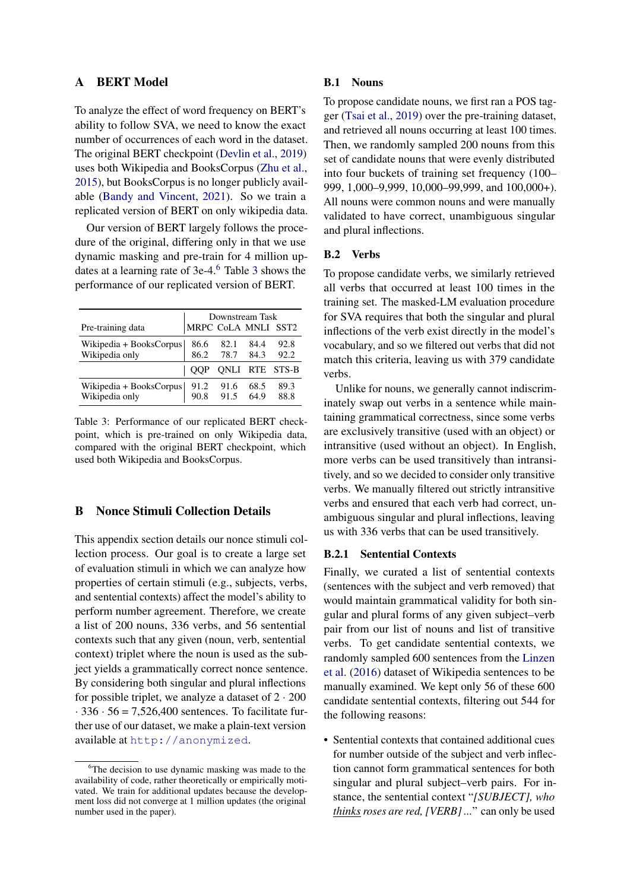## <span id="page-10-0"></span>A BERT Model

To analyze the effect of word frequency on BERT's ability to follow SVA, we need to know the exact number of occurrences of each word in the dataset. The original BERT checkpoint [\(Devlin et al.,](#page-9-2) [2019\)](#page-9-2) uses both Wikipedia and BooksCorpus [\(Zhu et al.,](#page-9-22) [2015\)](#page-9-22), but BooksCorpus is no longer publicly available [\(Bandy and Vincent,](#page-8-1) [2021\)](#page-8-1). So we train a replicated version of BERT on only wikipedia data.

Our version of BERT largely follows the procedure of the original, differing only in that we use dynamic masking and pre-train for 4 million updates at a learning rate of  $3e-4$  $3e-4$ .<sup>[6](#page-10-2)</sup> Table 3 shows the performance of our replicated version of BERT.

<span id="page-10-3"></span>

|                                                                         | Downstream Task              |              |              |                       |
|-------------------------------------------------------------------------|------------------------------|--------------|--------------|-----------------------|
| Pre-training data                                                       | MRPC CoLA MNLI SST2          |              |              |                       |
| Wikipedia + BooksCorpus 86.6<br>Wikipedia only 86.2                     |                              | 82.1<br>78.7 | 84.4         | 92.8                  |
|                                                                         |                              |              | 84.3         | 92.2                  |
|                                                                         | $\overline{\phantom{a}}$ OOP |              |              | <b>QNLI RTE STS-B</b> |
| Wikipedia + BooksCorpus $\begin{array}{ l l } 91.2 \\ 90.8 \end{array}$ | 90.8                         | 91.6<br>91.5 | 68.5<br>64.9 | 89.3<br>88.8          |

Table 3: Performance of our replicated BERT checkpoint, which is pre-trained on only Wikipedia data, compared with the original BERT checkpoint, which used both Wikipedia and BooksCorpus.

## <span id="page-10-1"></span>B Nonce Stimuli Collection Details

This appendix section details our nonce stimuli collection process. Our goal is to create a large set of evaluation stimuli in which we can analyze how properties of certain stimuli (e.g., subjects, verbs, and sentential contexts) affect the model's ability to perform number agreement. Therefore, we create a list of 200 nouns, 336 verbs, and 56 sentential contexts such that any given (noun, verb, sentential context) triplet where the noun is used as the subject yields a grammatically correct nonce sentence. By considering both singular and plural inflections for possible triplet, we analyze a dataset of  $2 \cdot 200$  $\cdot$  336  $\cdot$  56 = 7,526,400 sentences. To facilitate further use of our dataset, we make a plain-text version available at <http://anonymized>.

#### B.1 Nouns

To propose candidate nouns, we first ran a POS tagger [\(Tsai et al.,](#page-9-28) [2019\)](#page-9-28) over the pre-training dataset, and retrieved all nouns occurring at least 100 times. Then, we randomly sampled 200 nouns from this set of candidate nouns that were evenly distributed into four buckets of training set frequency (100– 999, 1,000–9,999, 10,000–99,999, and 100,000+). All nouns were common nouns and were manually validated to have correct, unambiguous singular and plural inflections.

### B.2 Verbs

To propose candidate verbs, we similarly retrieved all verbs that occurred at least 100 times in the training set. The masked-LM evaluation procedure for SVA requires that both the singular and plural inflections of the verb exist directly in the model's vocabulary, and so we filtered out verbs that did not match this criteria, leaving us with 379 candidate verbs.

Unlike for nouns, we generally cannot indiscriminately swap out verbs in a sentence while maintaining grammatical correctness, since some verbs are exclusively transitive (used with an object) or intransitive (used without an object). In English, more verbs can be used transitively than intransitively, and so we decided to consider only transitive verbs. We manually filtered out strictly intransitive verbs and ensured that each verb had correct, unambiguous singular and plural inflections, leaving us with 336 verbs that can be used transitively.

### B.2.1 Sentential Contexts

Finally, we curated a list of sentential contexts (sentences with the subject and verb removed) that would maintain grammatical validity for both singular and plural forms of any given subject–verb pair from our list of nouns and list of transitive verbs. To get candidate sentential contexts, we randomly sampled 600 sentences from the [Linzen](#page-9-8) [et al.](#page-9-8) [\(2016\)](#page-9-8) dataset of Wikipedia sentences to be manually examined. We kept only 56 of these 600 candidate sentential contexts, filtering out 544 for the following reasons:

• Sentential contexts that contained additional cues for number outside of the subject and verb inflection cannot form grammatical sentences for both singular and plural subject–verb pairs. For instance, the sentential context "*[SUBJECT], who thinks roses are red, [VERB] ...*" can only be used

<span id="page-10-2"></span><sup>&</sup>lt;sup>6</sup>The decision to use dynamic masking was made to the availability of code, rather theoretically or empirically motivated. We train for additional updates because the development loss did not converge at 1 million updates (the original number used in the paper).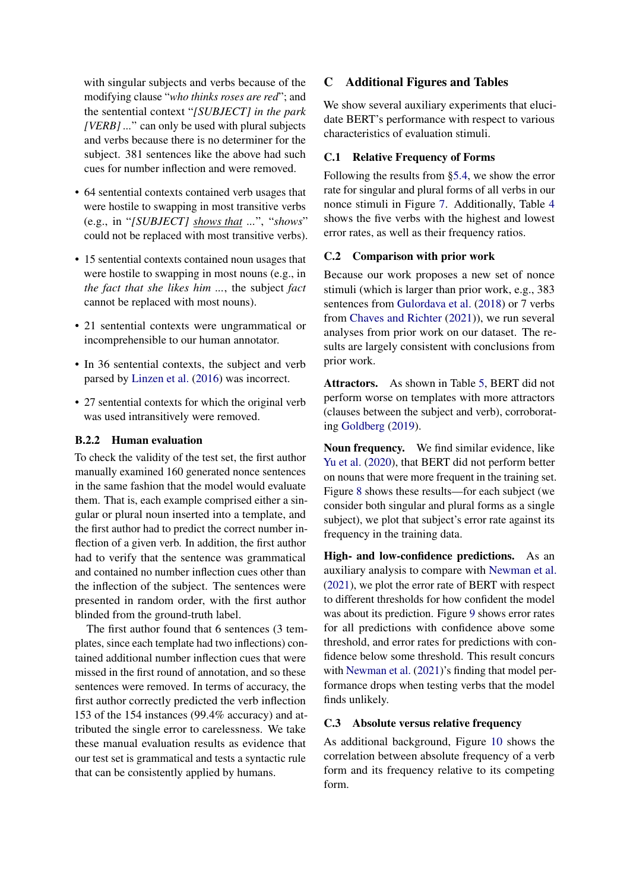with singular subjects and verbs because of the modifying clause "*who thinks roses are red*"; and the sentential context "*[SUBJECT] in the park [VERB] ...*" can only be used with plural subjects and verbs because there is no determiner for the subject. 381 sentences like the above had such cues for number inflection and were removed.

- 64 sentential contexts contained verb usages that were hostile to swapping in most transitive verbs (e.g., in "*[SUBJECT] shows that ...*", "*shows*" could not be replaced with most transitive verbs).
- 15 sentential contexts contained noun usages that were hostile to swapping in most nouns (e.g., in *the fact that she likes him ...*, the subject *fact* cannot be replaced with most nouns).
- 21 sentential contexts were ungrammatical or incomprehensible to our human annotator.
- In 36 sentential contexts, the subject and verb parsed by [Linzen et al.](#page-9-8) [\(2016\)](#page-9-8) was incorrect.
- 27 sentential contexts for which the original verb was used intransitively were removed.

## B.2.2 Human evaluation

To check the validity of the test set, the first author manually examined 160 generated nonce sentences in the same fashion that the model would evaluate them. That is, each example comprised either a singular or plural noun inserted into a template, and the first author had to predict the correct number inflection of a given verb. In addition, the first author had to verify that the sentence was grammatical and contained no number inflection cues other than the inflection of the subject. The sentences were presented in random order, with the first author blinded from the ground-truth label.

The first author found that 6 sentences (3 templates, since each template had two inflections) contained additional number inflection cues that were missed in the first round of annotation, and so these sentences were removed. In terms of accuracy, the first author correctly predicted the verb inflection 153 of the 154 instances (99.4% accuracy) and attributed the single error to carelessness. We take these manual evaluation results as evidence that our test set is grammatical and tests a syntactic rule that can be consistently applied by humans.

# C Additional Figures and Tables

We show several auxiliary experiments that elucidate BERT's performance with respect to various characteristics of evaluation stimuli.

## C.1 Relative Frequency of Forms

Following the results from [§5.4,](#page-4-3) we show the error rate for singular and plural forms of all verbs in our nonce stimuli in Figure [7.](#page-12-1) Additionally, Table [4](#page-12-2) shows the five verbs with the highest and lowest error rates, as well as their frequency ratios.

## C.2 Comparison with prior work

Because our work proposes a new set of nonce stimuli (which is larger than prior work, e.g., 383 sentences from [Gulordava et al.](#page-9-24) [\(2018\)](#page-9-24) or 7 verbs from [Chaves and Richter](#page-9-12) [\(2021\)](#page-9-12)), we run several analyses from prior work on our dataset. The results are largely consistent with conclusions from prior work.

Attractors. As shown in Table [5,](#page-12-3) BERT did not perform worse on templates with more attractors (clauses between the subject and verb), corroborating [Goldberg](#page-9-4) [\(2019\)](#page-9-4).

Noun frequency. We find similar evidence, like [Yu et al.](#page-9-11) [\(2020\)](#page-9-11), that BERT did not perform better on nouns that were more frequent in the training set. Figure [8](#page-12-4) shows these results—for each subject (we consider both singular and plural forms as a single subject), we plot that subject's error rate against its frequency in the training data.

High- and low-confidence predictions. As an auxiliary analysis to compare with [Newman et al.](#page-9-13) [\(2021\)](#page-9-13), we plot the error rate of BERT with respect to different thresholds for how confident the model was about its prediction. Figure [9](#page-12-5) shows error rates for all predictions with confidence above some threshold, and error rates for predictions with confidence below some threshold. This result concurs with [Newman et al.](#page-9-13) [\(2021\)](#page-9-13)'s finding that model performance drops when testing verbs that the model finds unlikely.

## <span id="page-11-0"></span>C.3 Absolute versus relative frequency

As additional background, Figure [10](#page-12-0) shows the correlation between absolute frequency of a verb form and its frequency relative to its competing form.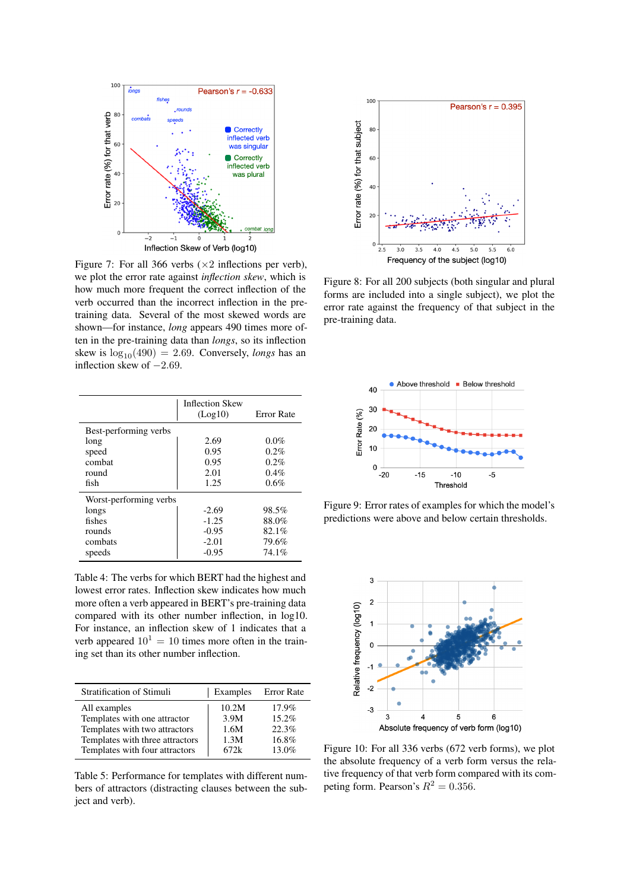<span id="page-12-1"></span>

Figure 7: For all 366 verbs  $(\times 2)$  inflections per verb), we plot the error rate against *inflection skew*, which is how much more frequent the correct inflection of the verb occurred than the incorrect inflection in the pretraining data. Several of the most skewed words are shown—for instance, *long* appears 490 times more often in the pre-training data than *longs*, so its inflection skew is  $log_{10}(490) = 2.69$ . Conversely, *longs* has an inflection skew of  $-2.69$ .

<span id="page-12-2"></span>

|                        | <b>Inflection Skew</b><br>(Log10) | <b>Error Rate</b> |  |
|------------------------|-----------------------------------|-------------------|--|
| Best-performing verbs  |                                   |                   |  |
| long                   | 2.69                              | $0.0\%$           |  |
| speed                  | 0.95                              | $0.2\%$           |  |
| combat                 | 0.95                              | 0.2%              |  |
| round                  | 2.01                              | 0.4%              |  |
| fish                   | 1.25                              | 0.6%              |  |
| Worst-performing verbs |                                   |                   |  |
| longs                  | $-2.69$                           | 98.5%             |  |
| fishes                 | $-1.25$                           | 88.0%             |  |
| rounds                 | $-0.95$                           | 82.1%             |  |
| combats                | $-2.01$                           | 79.6%             |  |
| speeds                 | $-0.95$                           | 74.1%             |  |

Table 4: The verbs for which BERT had the highest and lowest error rates. Inflection skew indicates how much more often a verb appeared in BERT's pre-training data compared with its other number inflection, in log10. For instance, an inflection skew of 1 indicates that a verb appeared  $10^1 = 10$  times more often in the training set than its other number inflection.

<span id="page-12-3"></span>

| Stratification of Stimuli       | Examples | Error Rate |
|---------------------------------|----------|------------|
| All examples                    | 10.2M    | $17.9\%$   |
| Templates with one attractor    | 3.9M     | 15.2%      |
| Templates with two attractors   | 1.6M     | 22.3%      |
| Templates with three attractors | 1.3M     | $16.8\%$   |
| Templates with four attractors  | 672k     | 13.0%      |

Table 5: Performance for templates with different numbers of attractors (distracting clauses between the subject and verb).

<span id="page-12-4"></span>

Figure 8: For all 200 subjects (both singular and plural forms are included into a single subject), we plot the error rate against the frequency of that subject in the pre-training data.

<span id="page-12-5"></span>

Figure 9: Error rates of examples for which the model's predictions were above and below certain thresholds.

<span id="page-12-0"></span>

Figure 10: For all 336 verbs (672 verb forms), we plot the absolute frequency of a verb form versus the relative frequency of that verb form compared with its competing form. Pearson's  $R^2 = 0.356$ .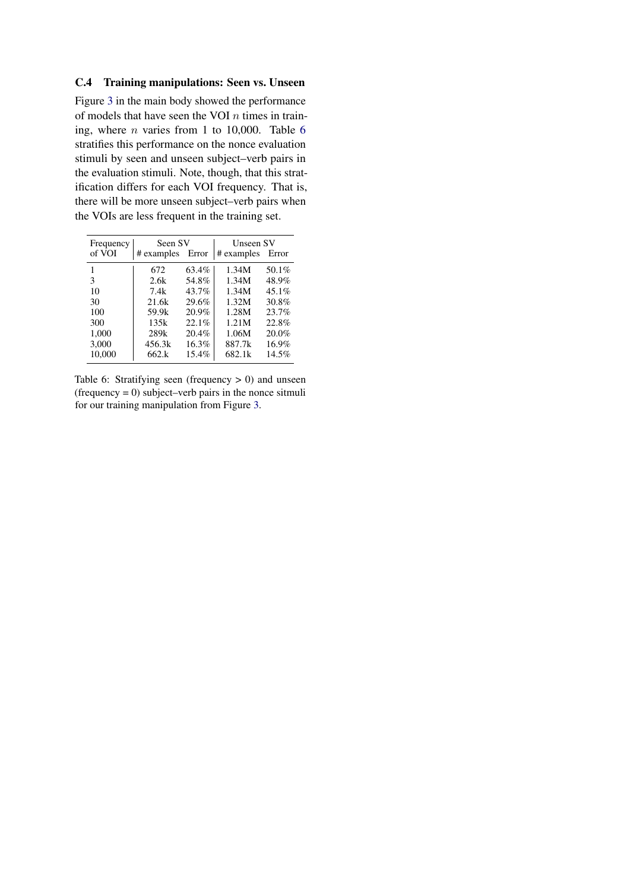## C.4 Training manipulations: Seen vs. Unseen

Figure [3](#page-5-4) in the main body showed the performance of models that have seen the VOI  $n$  times in training, where  $n$  varies from 1 to 10,000. Table [6](#page-13-0) stratifies this performance on the nonce evaluation stimuli by seen and unseen subject–verb pairs in the evaluation stimuli. Note, though, that this stratification differs for each VOI frequency. That is, there will be more unseen subject–verb pairs when the VOIs are less frequent in the training set.

<span id="page-13-0"></span>

| Frequency | Seen SV          |       | Unseen SV  |       |  |
|-----------|------------------|-------|------------|-------|--|
| of VOI    | # examples       | Error | # examples | Error |  |
|           | 672              | 63.4% | 1.34M      | 50.1% |  |
| 3         | 2.6k             | 54.8% | 1.34M      | 48.9% |  |
| 10        | 7.4k             | 43.7% | 1.34M      | 45.1% |  |
| 30        | 21.6k            | 29.6% | 1.32M      | 30.8% |  |
| 100       | 59.9k            | 20.9% | 1.28M      | 23.7% |  |
| 300       | 135k             | 22.1% | 1.21M      | 22.8% |  |
| 1,000     | 289 <sub>k</sub> | 20.4% | 1.06M      | 20.0% |  |
| 3,000     | 456.3k           | 16.3% | 887.7k     | 16.9% |  |
| 10.000    | 662.k            | 15.4% | 682.1k     | 14.5% |  |

Table 6: Stratifying seen (frequency  $> 0$ ) and unseen  $(frequency = 0)$  subject–verb pairs in the nonce sitmuli for our training manipulation from Figure [3.](#page-5-4)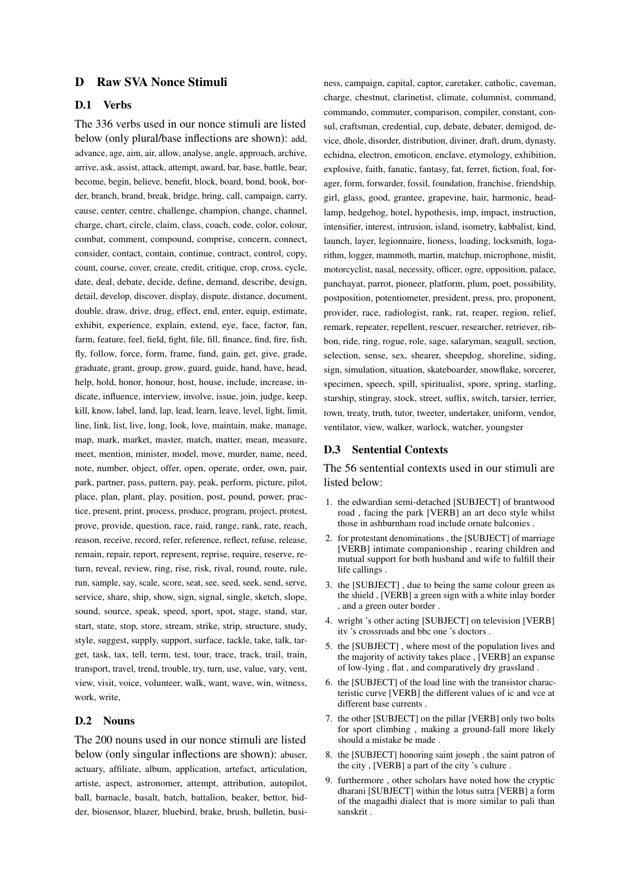## <span id="page-14-0"></span>D Raw SVA Nonce Stimuli

## D.1 Verbs

The 336 verbs used in our nonce stimuli are listed below (only plural/base inflections are shown): add, advance, age, aim, air, allow, analyse, angle, approach, archive, arrive, ask, assist, attack, attempt, award, bar, base, battle, bear, become, begin, believe, benefit, block, board, bond, book, border, branch, brand, break, bridge, bring, call, campaign, carry, cause, center, centre, challenge, champion, change, channel, charge, chart, circle, claim, class, coach, code, color, colour, combat, comment, compound, comprise, concern, connect, consider, contact, contain, continue, contract, control, copy, count, course, cover, create, credit, critique, crop, cross, cycle, date, deal, debate, decide, define, demand, describe, design, detail, develop, discover, display, dispute, distance, document, double, draw, drive, drug, effect, end, enter, equip, estimate, exhibit, experience, explain, extend, eye, face, factor, fan, farm, feature, feel, field, fight, file, fill, finance, find, fire, fish, fly, follow, force, form, frame, fund, gain, get, give, grade, graduate, grant, group, grow, guard, guide, hand, have, head, help, hold, honor, honour, host, house, include, increase, indicate, influence, interview, involve, issue, join, judge, keep, kill, know, label, land, lap, lead, learn, leave, level, light, limit, line, link, list, live, long, look, love, maintain, make, manage, map, mark, market, master, match, matter, mean, measure, meet, mention, minister, model, move, murder, name, need, note, number, object, offer, open, operate, order, own, pair, park, partner, pass, pattern, pay, peak, perform, picture, pilot, place, plan, plant, play, position, post, pound, power, practice, present, print, process, produce, program, project, protest, prove, provide, question, race, raid, range, rank, rate, reach, reason, receive, record, refer, reference, reflect, refuse, release, remain, repair, report, represent, reprise, require, reserve, return, reveal, review, ring, rise, risk, rival, round, route, rule, run, sample, say, scale, score, seat, see, seed, seek, send, serve, service, share, ship, show, sign, signal, single, sketch, slope, sound, source, speak, speed, sport, spot, stage, stand, star, start, state, stop, store, stream, strike, strip, structure, study, style, suggest, supply, support, surface, tackle, take, talk, target, task, tax, tell, term, test, tour, trace, track, trail, train, transport, travel, trend, trouble, try, turn, use, value, vary, vent, view, visit, voice, volunteer, walk, want, wave, win, witness, work, write,

#### D.2 Nouns

The 200 nouns used in our nonce stimuli are listed below (only singular inflections are shown): abuser, actuary, affiliate, album, application, artefact, articulation, artiste, aspect, astronomer, attempt, attribution, autopilot, ball, barnacle, basalt, batch, battalion, beaker, bettor, bidder, biosensor, blazer, bluebird, brake, brush, bulletin, business, campaign, capital, captor, caretaker, catholic, caveman, charge, chestnut, clarinetist, climate, columnist, command, commando, commuter, comparison, compiler, constant, consul, craftsman, credential, cup, debate, debater, demigod, device, dhole, disorder, distribution, diviner, draft, drum, dynasty, echidna, electron, emoticon, enclave, etymology, exhibition, explosive, faith, fanatic, fantasy, fat, ferret, fiction, foal, forager, form, forwarder, fossil, foundation, franchise, friendship, girl, glass, good, grantee, grapevine, hair, harmonic, headlamp, hedgehog, hotel, hypothesis, imp, impact, instruction, intensifier, interest, intrusion, island, isometry, kabbalist, kind, launch, layer, legionnaire, lioness, loading, locksmith, logarithm, logger, mammoth, martin, matchup, microphone, misfit, motorcyclist, nasal, necessity, officer, ogre, opposition, palace, panchayat, parrot, pioneer, platform, plum, poet, possibility, postposition, potentiometer, president, press, pro, proponent, provider, race, radiologist, rank, rat, reaper, region, relief, remark, repeater, repellent, rescuer, researcher, retriever, ribbon, ride, ring, rogue, role, sage, salaryman, seagull, section, selection, sense, sex, shearer, sheepdog, shoreline, siding, sign, simulation, situation, skateboarder, snowflake, sorcerer, specimen, speech, spill, spiritualist, spore, spring, starling, starship, stingray, stock, street, suffix, switch, tarsier, terrier, town, treaty, truth, tutor, tweeter, undertaker, uniform, vendor, ventilator, view, walker, warlock, watcher, youngster

#### D.3 Sentential Contexts

The 56 sentential contexts used in our stimuli are listed below:

- 1. the edwardian semi-detached [SUBJECT] of brantwood road , facing the park [VERB] an art deco style whilst those in ashburnham road include ornate balconies .
- 2. for protestant denominations , the [SUBJECT] of marriage [VERB] intimate companionship , rearing children and mutual support for both husband and wife to fulfill their life callings .
- 3. the [SUBJECT] , due to being the same colour green as the shield , [VERB] a green sign with a white inlay border , and a green outer border .
- 4. wright 's other acting [SUBJECT] on television [VERB] itv 's crossroads and bbc one 's doctors .
- 5. the [SUBJECT] , where most of the population lives and the majority of activity takes place , [VERB] an expanse of low-lying , flat , and comparatively dry grassland .
- 6. the [SUBJECT] of the load line with the transistor characteristic curve [VERB] the different values of ic and vce at different base currents .
- 7. the other [SUBJECT] on the pillar [VERB] only two bolts for sport climbing , making a ground-fall more likely should a mistake be made .
- 8. the [SUBJECT] honoring saint joseph , the saint patron of the city , [VERB] a part of the city 's culture .
- 9. furthermore , other scholars have noted how the cryptic dharani [SUBJECT] within the lotus sutra [VERB] a form of the magadhi dialect that is more similar to pali than sanskrit .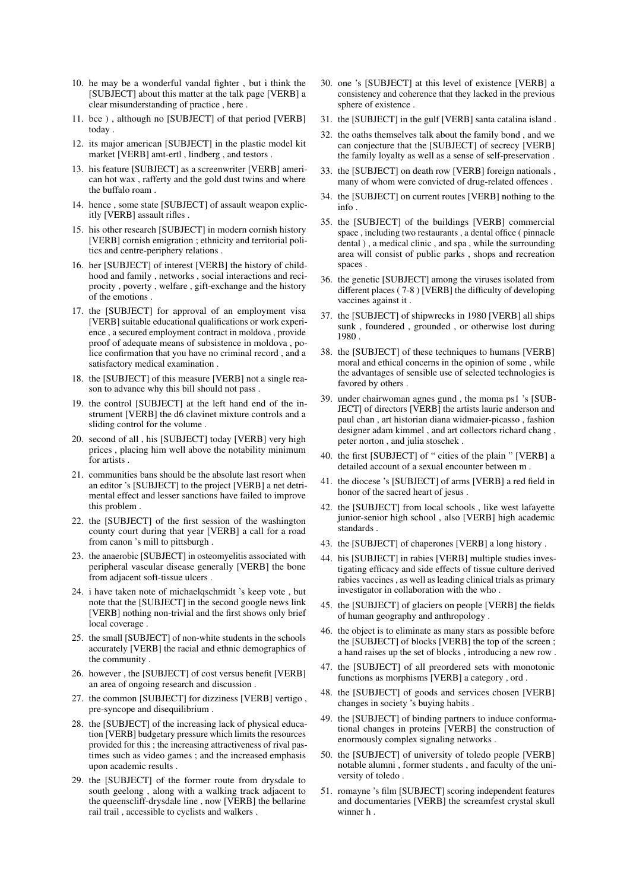- 10. he may be a wonderful vandal fighter , but i think the [SUBJECT] about this matter at the talk page [VERB] a clear misunderstanding of practice , here .
- 11. bce ) , although no [SUBJECT] of that period [VERB] today .
- 12. its major american [SUBJECT] in the plastic model kit market [VERB] amt-ertl , lindberg , and testors .
- 13. his feature [SUBJECT] as a screenwriter [VERB] american hot wax , rafferty and the gold dust twins and where the buffalo roam .
- 14. hence , some state [SUBJECT] of assault weapon explicitly [VERB] assault rifles .
- 15. his other research [SUBJECT] in modern cornish history [VERB] cornish emigration ; ethnicity and territorial politics and centre-periphery relations .
- 16. her [SUBJECT] of interest [VERB] the history of childhood and family , networks , social interactions and reciprocity , poverty , welfare , gift-exchange and the history of the emotions .
- 17. the [SUBJECT] for approval of an employment visa [VERB] suitable educational qualifications or work experience , a secured employment contract in moldova , provide proof of adequate means of subsistence in moldova , police confirmation that you have no criminal record , and a satisfactory medical examination .
- 18. the [SUBJECT] of this measure [VERB] not a single reason to advance why this bill should not pass .
- 19. the control [SUBJECT] at the left hand end of the instrument [VERB] the d6 clavinet mixture controls and a sliding control for the volume .
- 20. second of all , his [SUBJECT] today [VERB] very high prices , placing him well above the notability minimum for artists .
- 21. communities bans should be the absolute last resort when an editor 's [SUBJECT] to the project [VERB] a net detrimental effect and lesser sanctions have failed to improve this problem .
- 22. the [SUBJECT] of the first session of the washington county court during that year [VERB] a call for a road from canon 's mill to pittsburgh .
- 23. the anaerobic [SUBJECT] in osteomyelitis associated with peripheral vascular disease generally [VERB] the bone from adjacent soft-tissue ulcers .
- 24. i have taken note of michaelqschmidt 's keep vote , but note that the [SUBJECT] in the second google news link [VERB] nothing non-trivial and the first shows only brief local coverage .
- 25. the small [SUBJECT] of non-white students in the schools accurately [VERB] the racial and ethnic demographics of the community .
- 26. however , the [SUBJECT] of cost versus benefit [VERB] an area of ongoing research and discussion .
- 27. the common [SUBJECT] for dizziness [VERB] vertigo , pre-syncope and disequilibrium .
- 28. the [SUBJECT] of the increasing lack of physical education [VERB] budgetary pressure which limits the resources provided for this ; the increasing attractiveness of rival pastimes such as video games ; and the increased emphasis upon academic results .
- 29. the [SUBJECT] of the former route from drysdale to south geelong , along with a walking track adjacent to the queenscliff-drysdale line , now [VERB] the bellarine rail trail , accessible to cyclists and walkers .
- 30. one 's [SUBJECT] at this level of existence [VERB] a consistency and coherence that they lacked in the previous sphere of existence .
- 31. the [SUBJECT] in the gulf [VERB] santa catalina island .
- 32. the oaths themselves talk about the family bond , and we can conjecture that the [SUBJECT] of secrecy [VERB] the family loyalty as well as a sense of self-preservation .
- 33. the [SUBJECT] on death row [VERB] foreign nationals , many of whom were convicted of drug-related offences .
- 34. the [SUBJECT] on current routes [VERB] nothing to the info .
- 35. the [SUBJECT] of the buildings [VERB] commercial space , including two restaurants , a dental office ( pinnacle dental ) , a medical clinic , and spa , while the surrounding area will consist of public parks , shops and recreation spaces .
- 36. the genetic [SUBJECT] among the viruses isolated from different places ( 7-8 ) [VERB] the difficulty of developing vaccines against it .
- 37. the [SUBJECT] of shipwrecks in 1980 [VERB] all ships sunk , foundered , grounded , or otherwise lost during 1980 .
- 38. the [SUBJECT] of these techniques to humans [VERB] moral and ethical concerns in the opinion of some , while the advantages of sensible use of selected technologies is favored by others .
- 39. under chairwoman agnes gund , the moma ps1 's [SUB-JECT] of directors [VERB] the artists laurie anderson and paul chan , art historian diana widmaier-picasso , fashion designer adam kimmel , and art collectors richard chang , peter norton , and julia stoschek .
- 40. the first [SUBJECT] of " cities of the plain " [VERB] a detailed account of a sexual encounter between m .
- 41. the diocese 's [SUBJECT] of arms [VERB] a red field in honor of the sacred heart of jesus .
- 42. the [SUBJECT] from local schools , like west lafayette junior-senior high school , also [VERB] high academic standards .
- 43. the [SUBJECT] of chaperones [VERB] a long history .
- 44. his [SUBJECT] in rabies [VERB] multiple studies investigating efficacy and side effects of tissue culture derived rabies vaccines , as well as leading clinical trials as primary investigator in collaboration with the who .
- 45. the [SUBJECT] of glaciers on people [VERB] the fields of human geography and anthropology .
- 46. the object is to eliminate as many stars as possible before the [SUBJECT] of blocks [VERB] the top of the screen ; a hand raises up the set of blocks , introducing a new row .
- 47. the [SUBJECT] of all preordered sets with monotonic functions as morphisms [VERB] a category , ord .
- 48. the [SUBJECT] of goods and services chosen [VERB] changes in society 's buying habits .
- 49. the [SUBJECT] of binding partners to induce conformational changes in proteins [VERB] the construction of enormously complex signaling networks .
- 50. the [SUBJECT] of university of toledo people [VERB] notable alumni , former students , and faculty of the university of toledo .
- 51. romayne 's film [SUBJECT] scoring independent features and documentaries [VERB] the screamfest crystal skull winner h .